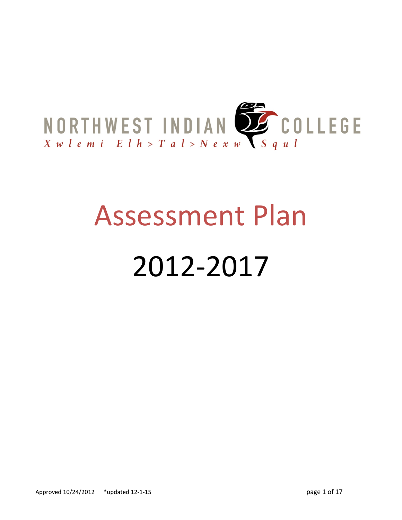

# Assessment Plan

## 2012-2017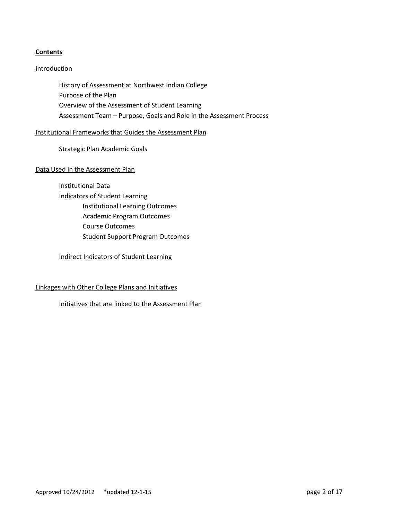#### **Contents**

#### **Introduction**

History of Assessment at Northwest Indian College Purpose of the Plan Overview of the Assessment of Student Learning Assessment Team – Purpose, Goals and Role in the Assessment Process

#### Institutional Frameworks that Guides the Assessment Plan

Strategic Plan Academic Goals

#### Data Used in the Assessment Plan

Institutional Data Indicators of Student Learning Institutional Learning Outcomes Academic Program Outcomes Course Outcomes Student Support Program Outcomes

Indirect Indicators of Student Learning

#### Linkages with Other College Plans and Initiatives

Initiatives that are linked to the Assessment Plan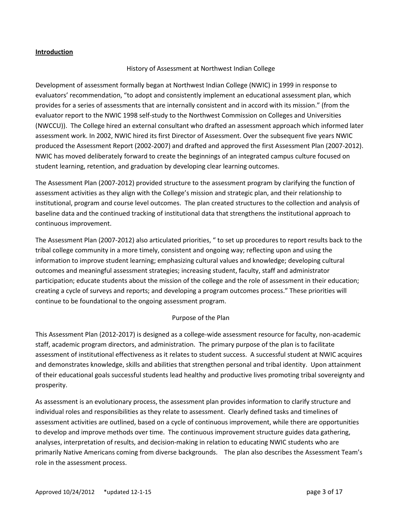#### **Introduction**

#### History of Assessment at Northwest Indian College

Development of assessment formally began at Northwest Indian College (NWIC) in 1999 in response to evaluators' recommendation, "to adopt and consistently implement an educational assessment plan, which provides for a series of assessments that are internally consistent and in accord with its mission." (from the evaluator report to the NWIC 1998 self-study to the Northwest Commission on Colleges and Universities (NWCCU)). The College hired an external consultant who drafted an assessment approach which informed later assessment work. In 2002, NWIC hired its first Director of Assessment. Over the subsequent five years NWIC produced the Assessment Report (2002-2007) and drafted and approved the first Assessment Plan (2007-2012). NWIC has moved deliberately forward to create the beginnings of an integrated campus culture focused on student learning, retention, and graduation by developing clear learning outcomes.

The Assessment Plan (2007-2012) provided structure to the assessment program by clarifying the function of assessment activities as they align with the College's mission and strategic plan, and their relationship to institutional, program and course level outcomes. The plan created structures to the collection and analysis of baseline data and the continued tracking of institutional data that strengthens the institutional approach to continuous improvement.

The Assessment Plan (2007-2012) also articulated priorities, " to set up procedures to report results back to the tribal college community in a more timely, consistent and ongoing way; reflecting upon and using the information to improve student learning; emphasizing cultural values and knowledge; developing cultural outcomes and meaningful assessment strategies; increasing student, faculty, staff and administrator participation; educate students about the mission of the college and the role of assessment in their education; creating a cycle of surveys and reports; and developing a program outcomes process." These priorities will continue to be foundational to the ongoing assessment program.

#### Purpose of the Plan

This Assessment Plan (2012-2017) is designed as a college-wide assessment resource for faculty, non-academic staff, academic program directors, and administration. The primary purpose of the plan is to facilitate assessment of institutional effectiveness as it relates to student success. A successful student at NWIC acquires and demonstrates knowledge, skills and abilities that strengthen personal and tribal identity. Upon attainment of their educational goals successful students lead healthy and productive lives promoting tribal sovereignty and prosperity.

As assessment is an evolutionary process, the assessment plan provides information to clarify structure and individual roles and responsibilities as they relate to assessment. Clearly defined tasks and timelines of assessment activities are outlined, based on a cycle of continuous improvement, while there are opportunities to develop and improve methods over time. The continuous improvement structure guides data gathering, analyses, interpretation of results, and decision-making in relation to educating NWIC students who are primarily Native Americans coming from diverse backgrounds. The plan also describes the Assessment Team's role in the assessment process.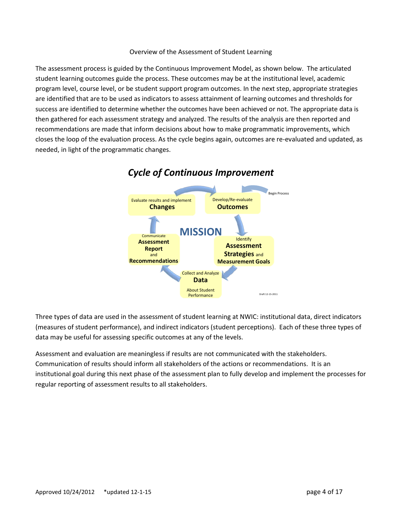#### Overview of the Assessment of Student Learning

The assessment process is guided by the Continuous Improvement Model, as shown below. The articulated student learning outcomes guide the process. These outcomes may be at the institutional level, academic program level, course level, or be student support program outcomes. In the next step, appropriate strategies are identified that are to be used as indicators to assess attainment of learning outcomes and thresholds for success are identified to determine whether the outcomes have been achieved or not. The appropriate data is then gathered for each assessment strategy and analyzed. The results of the analysis are then reported and recommendations are made that inform decisions about how to make programmatic improvements, which closes the loop of the evaluation process. As the cycle begins again, outcomes are re-evaluated and updated, as needed, in light of the programmatic changes.



### *Cycle of Continuous Improvement*

Three types of data are used in the assessment of student learning at NWIC: institutional data, direct indicators (measures of student performance), and indirect indicators (student perceptions). Each of these three types of data may be useful for assessing specific outcomes at any of the levels.

Assessment and evaluation are meaningless if results are not communicated with the stakeholders. Communication of results should inform all stakeholders of the actions or recommendations. It is an institutional goal during this next phase of the assessment plan to fully develop and implement the processes for regular reporting of assessment results to all stakeholders.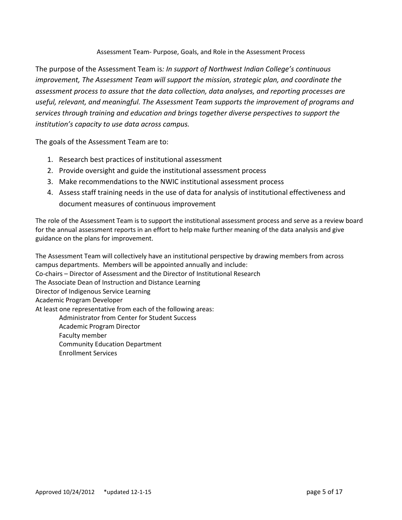#### Assessment Team- Purpose, Goals, and Role in the Assessment Process

The purpose of the Assessment Team is*: In support of Northwest Indian College's continuous improvement, The Assessment Team will support the mission, strategic plan, and coordinate the assessment process to assure that the data collection, data analyses, and reporting processes are useful, relevant, and meaningful. The Assessment Team supports the improvement of programs and services through training and education and brings together diverse perspectives to support the institution's capacity to use data across campus.*

The goals of the Assessment Team are to:

- 1. Research best practices of institutional assessment
- 2. Provide oversight and guide the institutional assessment process
- 3. Make recommendations to the NWIC institutional assessment process
- 4. Assess staff training needs in the use of data for analysis of institutional effectiveness and document measures of continuous improvement

The role of the Assessment Team is to support the institutional assessment process and serve as a review board for the annual assessment reports in an effort to help make further meaning of the data analysis and give guidance on the plans for improvement.

The Assessment Team will collectively have an institutional perspective by drawing members from across campus departments. Members will be appointed annually and include: Co-chairs – Director of Assessment and the Director of Institutional Research The Associate Dean of Instruction and Distance Learning Director of Indigenous Service Learning Academic Program Developer At least one representative from each of the following areas: Administrator from Center for Student Success Academic Program Director Faculty member Community Education Department Enrollment Services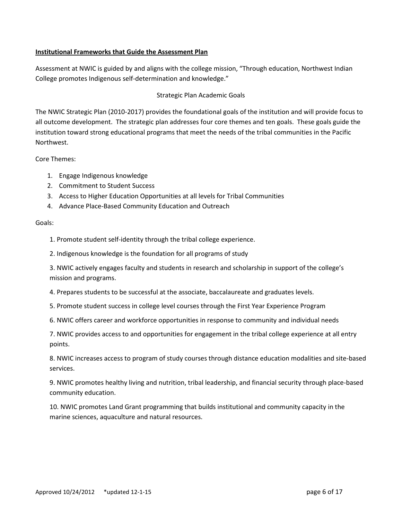#### **Institutional Frameworks that Guide the Assessment Plan**

Assessment at NWIC is guided by and aligns with the college mission, "Through education, Northwest Indian College promotes Indigenous self-determination and knowledge."

#### Strategic Plan Academic Goals

The NWIC Strategic Plan (2010-2017) provides the foundational goals of the institution and will provide focus to all outcome development. The strategic plan addresses four core themes and ten goals. These goals guide the institution toward strong educational programs that meet the needs of the tribal communities in the Pacific Northwest.

#### Core Themes:

- 1. Engage Indigenous knowledge
- 2. Commitment to Student Success
- 3. Access to Higher Education Opportunities at all levels for Tribal Communities
- 4. Advance Place-Based Community Education and Outreach

#### Goals:

1. Promote student self-identity through the tribal college experience.

2. Indigenous knowledge is the foundation for all programs of study

3. NWIC actively engages faculty and students in research and scholarship in support of the college's mission and programs.

4. Prepares students to be successful at the associate, baccalaureate and graduates levels.

- 5. Promote student success in college level courses through the First Year Experience Program
- 6. NWIC offers career and workforce opportunities in response to community and individual needs

7. NWIC provides access to and opportunities for engagement in the tribal college experience at all entry points.

8. NWIC increases access to program of study courses through distance education modalities and site-based services.

9. NWIC promotes healthy living and nutrition, tribal leadership, and financial security through place-based community education.

10. NWIC promotes Land Grant programming that builds institutional and community capacity in the marine sciences, aquaculture and natural resources.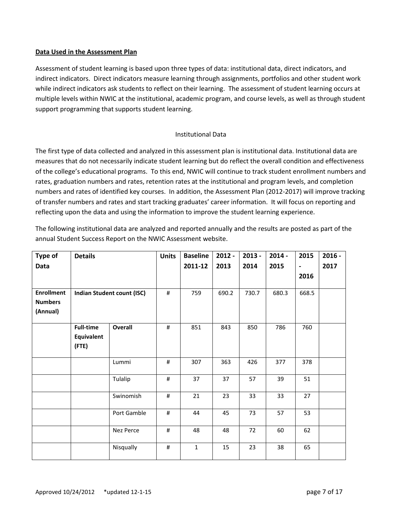#### **Data Used in the Assessment Plan**

Assessment of student learning is based upon three types of data: institutional data, direct indicators, and indirect indicators. Direct indicators measure learning through assignments, portfolios and other student work while indirect indicators ask students to reflect on their learning. The assessment of student learning occurs at multiple levels within NWIC at the institutional, academic program, and course levels, as well as through student support programming that supports student learning.

#### Institutional Data

The first type of data collected and analyzed in this assessment plan is institutional data. Institutional data are measures that do not necessarily indicate student learning but do reflect the overall condition and effectiveness of the college's educational programs. To this end, NWIC will continue to track student enrollment numbers and rates, graduation numbers and rates, retention rates at the institutional and program levels, and completion numbers and rates of identified key courses. In addition, the Assessment Plan (2012-2017) will improve tracking of transfer numbers and rates and start tracking graduates' career information. It will focus on reporting and reflecting upon the data and using the information to improve the student learning experience.

The following institutional data are analyzed and reported annually and the results are posted as part of the annual Student Success Report on the NWIC Assessment website.

| Type of           | <b>Details</b>      |                            | <b>Units</b> | <b>Baseline</b> | $2012 -$ | $2013 -$ | $2014 -$ | 2015           | $2016 -$ |
|-------------------|---------------------|----------------------------|--------------|-----------------|----------|----------|----------|----------------|----------|
| Data              |                     |                            |              | 2011-12         | 2013     | 2014     | 2015     | $\blacksquare$ | 2017     |
|                   |                     |                            |              |                 |          |          |          | 2016           |          |
| <b>Enrollment</b> |                     | Indian Student count (ISC) | $\#$         | 759             | 690.2    | 730.7    | 680.3    | 668.5          |          |
| <b>Numbers</b>    |                     |                            |              |                 |          |          |          |                |          |
| (Annual)          |                     |                            |              |                 |          |          |          |                |          |
|                   | <b>Full-time</b>    | <b>Overall</b>             | $\#$         | 851             | 843      | 850      | 786      | 760            |          |
|                   | Equivalent<br>(FTE) |                            |              |                 |          |          |          |                |          |
|                   |                     | Lummi                      | $\#$         | 307             | 363      | 426      | 377      | 378            |          |
|                   |                     | Tulalip                    | $\#$         | 37              | 37       | 57       | 39       | 51             |          |
|                   |                     | Swinomish                  | #            | 21              | 23       | 33       | 33       | 27             |          |
|                   |                     | Port Gamble                | #            | 44              | 45       | 73       | 57       | 53             |          |
|                   |                     | Nez Perce                  | #            | 48              | 48       | 72       | 60       | 62             |          |
|                   |                     | Nisqually                  | #            | $\mathbf{1}$    | 15       | 23       | 38       | 65             |          |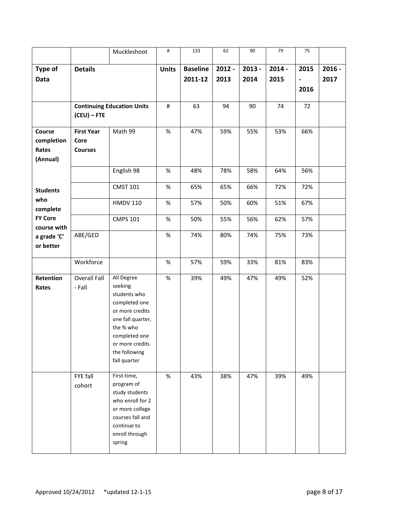|                               |                               | Muckleshoot                                                                                                                                                                      | $\#$         | 133             | 62       | 90       | 79       | 75                           |          |
|-------------------------------|-------------------------------|----------------------------------------------------------------------------------------------------------------------------------------------------------------------------------|--------------|-----------------|----------|----------|----------|------------------------------|----------|
| Type of                       | <b>Details</b>                |                                                                                                                                                                                  | <b>Units</b> | <b>Baseline</b> | $2012 -$ | $2013 -$ | $2014 -$ | 2015                         | $2016 -$ |
| <b>Data</b>                   |                               |                                                                                                                                                                                  |              | 2011-12         | 2013     | 2014     | 2015     | $\qquad \qquad \blacksquare$ | 2017     |
|                               |                               |                                                                                                                                                                                  |              |                 |          |          |          | 2016                         |          |
|                               |                               | <b>Continuing Education Units</b>                                                                                                                                                | $\#$         | 63              | 94       | 90       | 74       | 72                           |          |
|                               | $(CEU) - FTE$                 |                                                                                                                                                                                  |              |                 |          |          |          |                              |          |
| Course                        | <b>First Year</b>             | Math 99                                                                                                                                                                          | $\%$         | 47%             | 59%      | 55%      | 53%      | 66%                          |          |
| completion                    | Core                          |                                                                                                                                                                                  |              |                 |          |          |          |                              |          |
| Rates<br>(Annual)             | <b>Courses</b>                |                                                                                                                                                                                  |              |                 |          |          |          |                              |          |
|                               |                               | English 98                                                                                                                                                                       | $\%$         | 48%             | 78%      | 58%      | 64%      | 56%                          |          |
|                               |                               |                                                                                                                                                                                  |              |                 |          |          |          |                              |          |
| <b>Students</b>               |                               | <b>CMST 101</b>                                                                                                                                                                  | $\%$         | 65%             | 65%      | 66%      | 72%      | 72%                          |          |
| who<br>complete               |                               | <b>HMDV 110</b>                                                                                                                                                                  | $\%$         | 57%             | 50%      | 60%      | 51%      | 67%                          |          |
| <b>FY Core</b><br>course with |                               | <b>CMPS 101</b>                                                                                                                                                                  | $\%$         | 50%             | 55%      | 56%      | 62%      | 57%                          |          |
| a grade 'C'<br>or better      | ABE/GED                       |                                                                                                                                                                                  | $\%$         | 74%             | 80%      | 74%      | 75%      | 73%                          |          |
|                               | Workforce                     |                                                                                                                                                                                  | $\%$         | 57%             | 59%      | 33%      | 81%      | 83%                          |          |
| Retention<br>Rates            | <b>Overall Fall</b><br>- Fall | All Degree<br>seeking<br>students who<br>completed one<br>or more credits<br>one fall quarter,<br>the % who<br>completed one<br>or more credits<br>the following<br>fall quarter | $\%$         | 39%             | 49%      | 47%      | 49%      | 52%                          |          |
|                               | FYE fall<br>cohort            | First-time,<br>program of<br>study students<br>who enroll for 2<br>or more college<br>courses fall and<br>continue to<br>enroll through<br>spring                                | $\%$         | 43%             | 38%      | 47%      | 39%      | 49%                          |          |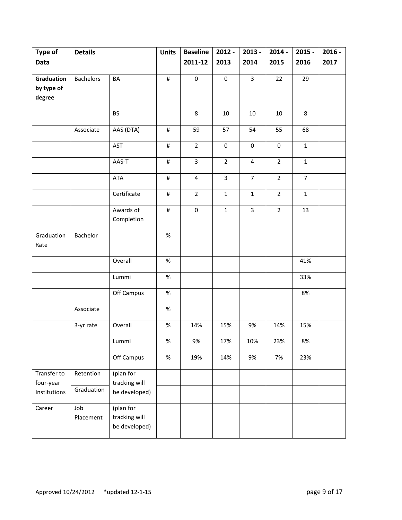| Type of      | <b>Details</b>   |               | <b>Units</b> | <b>Baseline</b>         | $2012 -$       | $2013 -$                | $2014 -$       | $2015 -$       | $2016 -$ |
|--------------|------------------|---------------|--------------|-------------------------|----------------|-------------------------|----------------|----------------|----------|
| <b>Data</b>  |                  |               |              | 2011-12                 | 2013           | 2014                    | 2015           | 2016           | 2017     |
|              |                  |               |              |                         |                |                         |                |                |          |
| Graduation   | <b>Bachelors</b> | BA            | $\#$         | $\pmb{0}$               | $\pmb{0}$      | $\overline{\mathbf{3}}$ | 22             | 29             |          |
| by type of   |                  |               |              |                         |                |                         |                |                |          |
| degree       |                  |               |              |                         |                |                         |                |                |          |
|              |                  | <b>BS</b>     |              | 8                       | $10\,$         | $10\,$                  | 10             | 8              |          |
|              |                  |               |              |                         |                |                         |                |                |          |
|              | Associate        | AAS (DTA)     | $\#$         | 59                      | 57             | 54                      | 55             | 68             |          |
|              |                  | AST           | $\#$         | $\overline{2}$          | 0              | $\pmb{0}$               | $\mathbf 0$    | $\mathbf{1}$   |          |
|              |                  | AAS-T         | $\#$         | $\overline{3}$          | $\overline{2}$ | $\overline{\mathbf{4}}$ | $\overline{2}$ | $\mathbf 1$    |          |
|              |                  | <b>ATA</b>    | $\#$         | $\overline{\mathbf{4}}$ | 3              | $\overline{7}$          | $\overline{2}$ | $\overline{7}$ |          |
|              |                  | Certificate   | $\#$         | $\overline{2}$          | $\mathbf 1$    | $\mathbf{1}$            | $\overline{2}$ | $\mathbf{1}$   |          |
|              |                  | Awards of     | $\#$         | $\pmb{0}$               | $\mathbf 1$    | 3                       | $\overline{2}$ | 13             |          |
|              |                  | Completion    |              |                         |                |                         |                |                |          |
| Graduation   | Bachelor         |               | $\%$         |                         |                |                         |                |                |          |
| Rate         |                  |               |              |                         |                |                         |                |                |          |
|              |                  | Overall       | $\%$         |                         |                |                         |                | 41%            |          |
|              |                  | Lummi         | $\%$         |                         |                |                         |                | 33%            |          |
|              |                  | Off Campus    | $\%$         |                         |                |                         |                | 8%             |          |
|              | Associate        |               | $\%$         |                         |                |                         |                |                |          |
|              | 3-yr rate        | Overall       | $\%$         | 14%                     | 15%            | 9%                      | 14%            | 15%            |          |
|              |                  | Lummi         | $\%$         | $9\%$                   | 17%            | 10%                     | 23%            | 8%             |          |
|              |                  | Off Campus    | $\%$         | 19%                     | 14%            | 9%                      | 7%             | 23%            |          |
| Transfer to  | Retention        | (plan for     |              |                         |                |                         |                |                |          |
| four-year    |                  | tracking will |              |                         |                |                         |                |                |          |
| Institutions | Graduation       | be developed) |              |                         |                |                         |                |                |          |
| Career       | Job              | (plan for     |              |                         |                |                         |                |                |          |
|              | Placement        | tracking will |              |                         |                |                         |                |                |          |
|              |                  | be developed) |              |                         |                |                         |                |                |          |
|              |                  |               |              |                         |                |                         |                |                |          |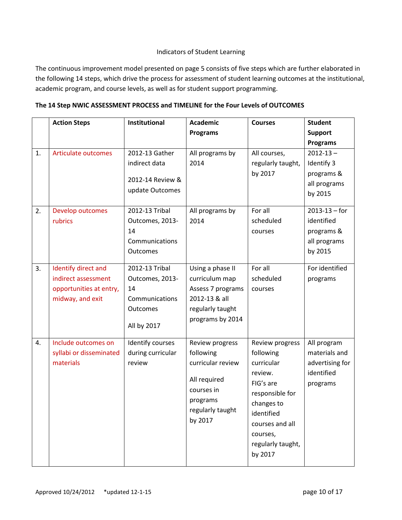#### Indicators of Student Learning

The continuous improvement model presented on page 5 consists of five steps which are further elaborated in the following 14 steps, which drive the process for assessment of student learning outcomes at the institutional, academic program, and course levels, as well as for student support programming.

| The 14 Step NWIC ASSESSMENT PROCESS and TIMELINE for the Four Levels of OUTCOMES |  |
|----------------------------------------------------------------------------------|--|
|----------------------------------------------------------------------------------|--|

|    | <b>Action Steps</b>     | Institutional     | <b>Academic</b>   | <b>Courses</b>    | <b>Student</b>    |
|----|-------------------------|-------------------|-------------------|-------------------|-------------------|
|    |                         |                   | <b>Programs</b>   |                   | <b>Support</b>    |
|    |                         |                   |                   |                   | <b>Programs</b>   |
| 1. | Articulate outcomes     | 2012-13 Gather    | All programs by   | All courses,      | $2012 - 13 -$     |
|    |                         | indirect data     | 2014              | regularly taught, | Identify 3        |
|    |                         |                   |                   | by 2017           | programs &        |
|    |                         | 2012-14 Review &  |                   |                   | all programs      |
|    |                         | update Outcomes   |                   |                   | by 2015           |
| 2. | Develop outcomes        | 2012-13 Tribal    | All programs by   | For all           | $2013 - 13 - for$ |
|    | rubrics                 | Outcomes, 2013-   | 2014              | scheduled         | identified        |
|    |                         | 14                |                   | courses           | programs &        |
|    |                         | Communications    |                   |                   | all programs      |
|    |                         | Outcomes          |                   |                   | by 2015           |
|    |                         |                   |                   |                   |                   |
| 3. | Identify direct and     | 2012-13 Tribal    | Using a phase II  | For all           | For identified    |
|    | indirect assessment     | Outcomes, 2013-   | curriculum map    | scheduled         | programs          |
|    | opportunities at entry, | 14                | Assess 7 programs | courses           |                   |
|    | midway, and exit        | Communications    | 2012-13 & all     |                   |                   |
|    |                         | Outcomes          | regularly taught  |                   |                   |
|    |                         |                   | programs by 2014  |                   |                   |
|    |                         | All by 2017       |                   |                   |                   |
| 4. | Include outcomes on     | Identify courses  | Review progress   | Review progress   | All program       |
|    | syllabi or disseminated | during curricular | following         | following         | materials and     |
|    | materials               | review            | curricular review | curricular        | advertising for   |
|    |                         |                   |                   | review.           | identified        |
|    |                         |                   | All required      | FIG's are         | programs          |
|    |                         |                   | courses in        | responsible for   |                   |
|    |                         |                   | programs          | changes to        |                   |
|    |                         |                   | regularly taught  | identified        |                   |
|    |                         |                   | by 2017           | courses and all   |                   |
|    |                         |                   |                   | courses,          |                   |
|    |                         |                   |                   | regularly taught, |                   |
|    |                         |                   |                   | by 2017           |                   |
|    |                         |                   |                   |                   |                   |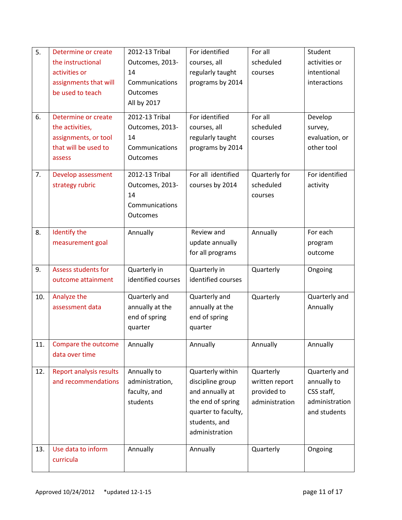| 5.  | Determine or create                                   | 2012-13 Tribal                 | For identified      | For all                     | Student        |
|-----|-------------------------------------------------------|--------------------------------|---------------------|-----------------------------|----------------|
|     | the instructional                                     | Outcomes, 2013-                | courses, all        | scheduled                   | activities or  |
|     | activities or                                         | 14                             | regularly taught    | courses                     | intentional    |
|     | assignments that will                                 | Communications                 | programs by 2014    |                             | interactions   |
|     | be used to teach                                      | <b>Outcomes</b>                |                     |                             |                |
|     |                                                       | All by 2017                    |                     |                             |                |
| 6.  | Determine or create                                   | 2012-13 Tribal                 | For identified      | For all                     | Develop        |
|     | the activities,                                       | Outcomes, 2013-                | courses, all        | scheduled                   | survey,        |
|     | assignments, or tool                                  | 14                             | regularly taught    | courses                     | evaluation, or |
|     | that will be used to                                  | Communications                 | programs by 2014    |                             | other tool     |
|     | assess                                                | <b>Outcomes</b>                |                     |                             |                |
| 7.  |                                                       | 2012-13 Tribal                 | For all identified  |                             | For identified |
|     | Develop assessment<br>strategy rubric                 | Outcomes, 2013-                |                     | Quarterly for<br>scheduled  |                |
|     |                                                       | 14                             | courses by 2014     | courses                     | activity       |
|     |                                                       | Communications                 |                     |                             |                |
|     |                                                       | <b>Outcomes</b>                |                     |                             |                |
|     |                                                       |                                |                     |                             |                |
| 8.  | Identify the                                          | Annually                       | Review and          | Annually                    | For each       |
|     | measurement goal                                      |                                | update annually     |                             | program        |
|     |                                                       |                                | for all programs    |                             | outcome        |
| 9.  | <b>Assess students for</b>                            | Quarterly in                   | Quarterly in        | Quarterly                   | Ongoing        |
|     | outcome attainment                                    | identified courses             | identified courses  |                             |                |
|     |                                                       |                                |                     |                             |                |
| 10. | Analyze the                                           | Quarterly and                  | Quarterly and       | Quarterly                   | Quarterly and  |
|     | assessment data                                       | annually at the                | annually at the     |                             | Annually       |
|     |                                                       | end of spring                  | end of spring       |                             |                |
|     |                                                       | quarter                        | quarter             |                             |                |
| 11. | Compare the outcome                                   | Annually                       | Annually            | Annually                    | Annually       |
|     | data over time                                        |                                |                     |                             |                |
| 12. |                                                       |                                | Quarterly within    |                             | Quarterly and  |
|     | <b>Report analysis results</b><br>and recommendations | Annually to<br>administration, | discipline group    | Quarterly<br>written report | annually to    |
|     |                                                       | faculty, and                   | and annually at     | provided to                 | CSS staff,     |
|     |                                                       | students                       | the end of spring   | administration              | administration |
|     |                                                       |                                | quarter to faculty, |                             | and students   |
|     |                                                       |                                | students, and       |                             |                |
|     |                                                       |                                | administration      |                             |                |
|     |                                                       |                                |                     |                             |                |
| 13. | Use data to inform                                    | Annually                       | Annually            | Quarterly                   | Ongoing        |
|     | curricula                                             |                                |                     |                             |                |
|     |                                                       |                                |                     |                             |                |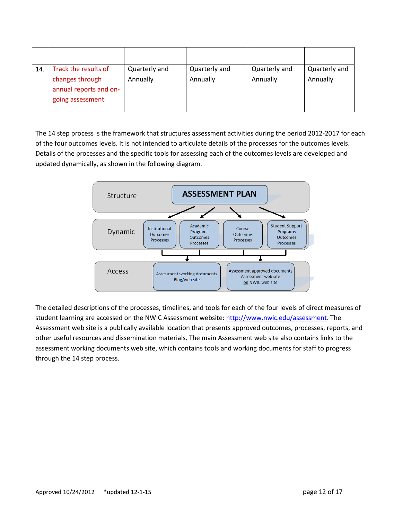| 14. | Track the results of<br>changes through<br>annual reports and on-<br>going assessment | Quarterly and<br>Annually | Quarterly and<br>Annually | Quarterly and<br>Annually | Quarterly and<br>Annually |
|-----|---------------------------------------------------------------------------------------|---------------------------|---------------------------|---------------------------|---------------------------|

The 14 step process is the framework that structures assessment activities during the period 2012-2017 for each of the four outcomes levels. It is not intended to articulate details of the processes for the outcomes levels. Details of the processes and the specific tools for assessing each of the outcomes levels are developed and updated dynamically, as shown in the following diagram.



The detailed descriptions of the processes, timelines, and tools for each of the four levels of direct measures of student learning are accessed on the NWIC Assessment website[: http://www.nwic.edu/assessment.](http://www.nwic.edu/assessment) The Assessment web site is a publically available location that presents approved outcomes, processes, reports, and other useful resources and dissemination materials. The main Assessment web site also contains links to the assessment working documents web site, which contains tools and working documents for staff to progress through the 14 step process.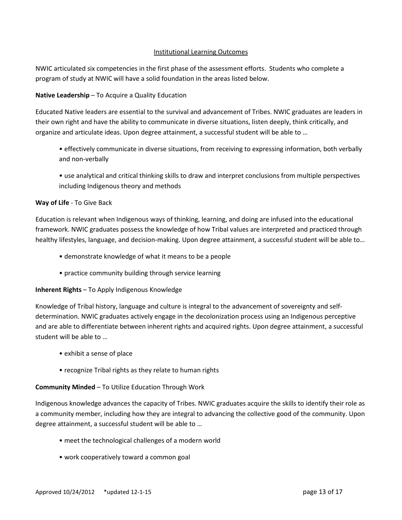#### Institutional Learning Outcomes

NWIC articulated six competencies in the first phase of the assessment efforts. Students who complete a program of study at NWIC will have a solid foundation in the areas listed below.

#### **Native Leadership** – To Acquire a Quality Education

Educated Native leaders are essential to the survival and advancement of Tribes. NWIC graduates are leaders in their own right and have the ability to communicate in diverse situations, listen deeply, think critically, and organize and articulate ideas. Upon degree attainment, a successful student will be able to …

- effectively communicate in diverse situations, from receiving to expressing information, both verbally and non-verbally
- use analytical and critical thinking skills to draw and interpret conclusions from multiple perspectives including Indigenous theory and methods

#### **Way of Life** - To Give Back

Education is relevant when Indigenous ways of thinking, learning, and doing are infused into the educational framework. NWIC graduates possess the knowledge of how Tribal values are interpreted and practiced through healthy lifestyles, language, and decision-making. Upon degree attainment, a successful student will be able to…

- demonstrate knowledge of what it means to be a people
- practice community building through service learning

#### **Inherent Rights** – To Apply Indigenous Knowledge

Knowledge of Tribal history, language and culture is integral to the advancement of sovereignty and selfdetermination. NWIC graduates actively engage in the decolonization process using an Indigenous perceptive and are able to differentiate between inherent rights and acquired rights. Upon degree attainment, a successful student will be able to …

- exhibit a sense of place
- recognize Tribal rights as they relate to human rights

#### **Community Minded** – To Utilize Education Through Work

Indigenous knowledge advances the capacity of Tribes. NWIC graduates acquire the skills to identify their role as a community member, including how they are integral to advancing the collective good of the community. Upon degree attainment, a successful student will be able to …

- meet the technological challenges of a modern world
- work cooperatively toward a common goal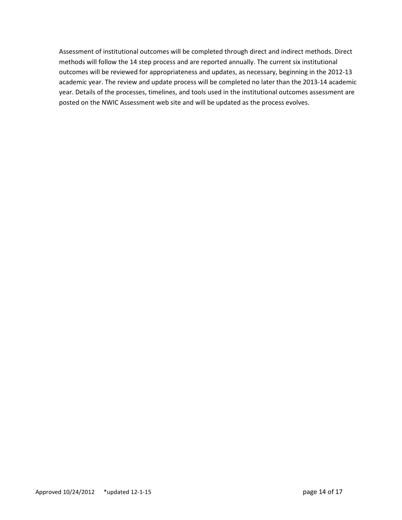Assessment of institutional outcomes will be completed through direct and indirect methods. Direct methods will follow the 14 step process and are reported annually. The current six institutional outcomes will be reviewed for appropriateness and updates, as necessary, beginning in the 2012-13 academic year. The review and update process will be completed no later than the 2013-14 academic year. Details of the processes, timelines, and tools used in the institutional outcomes assessment are posted on the NWIC Assessment web site and will be updated as the process evolves.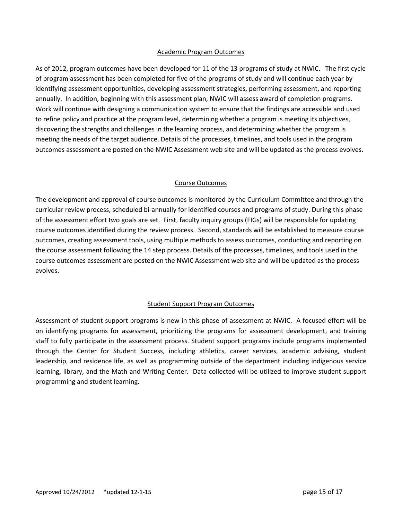#### Academic Program Outcomes

As of 2012, program outcomes have been developed for 11 of the 13 programs of study at NWIC. The first cycle of program assessment has been completed for five of the programs of study and will continue each year by identifying assessment opportunities, developing assessment strategies, performing assessment, and reporting annually. In addition, beginning with this assessment plan, NWIC will assess award of completion programs. Work will continue with designing a communication system to ensure that the findings are accessible and used to refine policy and practice at the program level, determining whether a program is meeting its objectives, discovering the strengths and challenges in the learning process, and determining whether the program is meeting the needs of the target audience. Details of the processes, timelines, and tools used in the program outcomes assessment are posted on the NWIC Assessment web site and will be updated as the process evolves.

#### Course Outcomes

The development and approval of course outcomes is monitored by the Curriculum Committee and through the curricular review process, scheduled bi-annually for identified courses and programs of study. During this phase of the assessment effort two goals are set. First, faculty inquiry groups (FIGs) will be responsible for updating course outcomes identified during the review process. Second, standards will be established to measure course outcomes, creating assessment tools, using multiple methods to assess outcomes, conducting and reporting on the course assessment following the 14 step process. Details of the processes, timelines, and tools used in the course outcomes assessment are posted on the NWIC Assessment web site and will be updated as the process evolves.

#### Student Support Program Outcomes

Assessment of student support programs is new in this phase of assessment at NWIC. A focused effort will be on identifying programs for assessment, prioritizing the programs for assessment development, and training staff to fully participate in the assessment process. Student support programs include programs implemented through the Center for Student Success, including athletics, career services, academic advising, student leadership, and residence life, as well as programming outside of the department including indigenous service learning, library, and the Math and Writing Center. Data collected will be utilized to improve student support programming and student learning.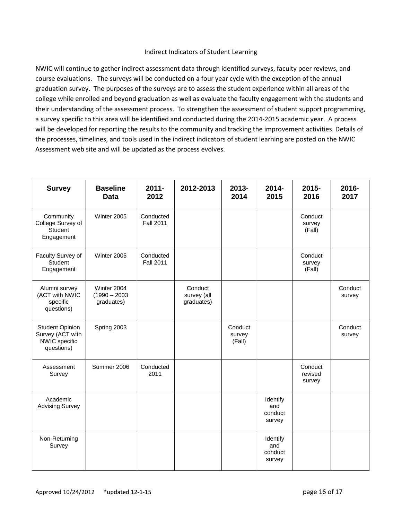#### Indirect Indicators of Student Learning

NWIC will continue to gather indirect assessment data through identified surveys, faculty peer reviews, and course evaluations. The surveys will be conducted on a four year cycle with the exception of the annual graduation survey. The purposes of the surveys are to assess the student experience within all areas of the college while enrolled and beyond graduation as well as evaluate the faculty engagement with the students and their understanding of the assessment process. To strengthen the assessment of student support programming, a survey specific to this area will be identified and conducted during the 2014-2015 academic year. A process will be developed for reporting the results to the community and tracking the improvement activities. Details of the processes, timelines, and tools used in the indirect indicators of student learning are posted on the NWIC Assessment web site and will be updated as the process evolves.

| <b>Survey</b>                                                             | <b>Baseline</b><br><b>Data</b>               | $2011 -$<br>2012              | 2012-2013                            | 2013-<br>2014               | 2014-<br>2015                        | 2015-<br>2016                | 2016-<br>2017     |
|---------------------------------------------------------------------------|----------------------------------------------|-------------------------------|--------------------------------------|-----------------------------|--------------------------------------|------------------------------|-------------------|
| Community<br>College Survey of<br>Student<br>Engagement                   | Winter 2005                                  | Conducted<br><b>Fall 2011</b> |                                      |                             |                                      | Conduct<br>survey<br>(Fall)  |                   |
| Faculty Survey of<br>Student<br>Engagement                                | Winter 2005                                  | Conducted<br><b>Fall 2011</b> |                                      |                             |                                      | Conduct<br>survey<br>(Fall)  |                   |
| Alumni survey<br>(ACT with NWIC<br>specific<br>questions)                 | Winter 2004<br>$(1990 - 2003)$<br>graduates) |                               | Conduct<br>survey (all<br>graduates) |                             |                                      |                              | Conduct<br>survey |
| <b>Student Opinion</b><br>Survey (ACT with<br>NWIC specific<br>questions) | Spring 2003                                  |                               |                                      | Conduct<br>survey<br>(Fall) |                                      |                              | Conduct<br>survey |
| Assessment<br>Survey                                                      | Summer 2006                                  | Conducted<br>2011             |                                      |                             |                                      | Conduct<br>revised<br>survey |                   |
| Academic<br><b>Advising Survey</b>                                        |                                              |                               |                                      |                             | Identify<br>and<br>conduct<br>survey |                              |                   |
| Non-Returning<br>Survey                                                   |                                              |                               |                                      |                             | Identify<br>and<br>conduct<br>survey |                              |                   |